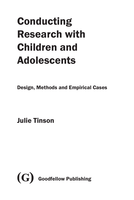## Conducting Research with Children and Adolescents

Design, Methods and Empirical Cases

Julie Tinson

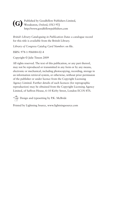Published by Goodfellow Publishers Limited, (G) <sup>Published by Goodfellow Published by Goodfellow Published by Goodfellow Published by Goodfellow Published by Goodfellow Published by Goodfellow Published by Goodfellow Published **Cool**</sup> http://www.goodfellowpublishers.com

*British Library Cataloguing in Publication Data*: a catalogue record for this title is available from the British Library.

*Library of Congress Catalog Card Number*: on file.

ISBN: 978-1-906884-02-4

Copyright © Julie Tinson 2009

All rights reserved. The text of this publication, or any part thereof, may not be reproduced or transmitted in any form or by any means, electronic or mechanical, including photocopying, recording, storage in an information retrieval system, or otherwise, without prior permission of the publisher or under licence from the Copyright Licensing Agency Limited. Further details of such licences (for reprographic reproduction) may be obtained from the Copyright Licensing Agency Limited, of Saffron House, 6–10 Kirby Street, London EC1N 8TS.

Design and typesetting by P.K. McBride

Printed by Lightning Source, www.lightningsource.com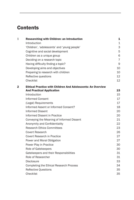## **Contents**

| $\mathbf{1}$ | <b>Researching with Children: an Introduction</b>                  | $\mathbf{1}$   |
|--------------|--------------------------------------------------------------------|----------------|
|              | Introduction                                                       | $\mathbf{1}$   |
|              | 'Children', 'adolescents' and 'young people'                       | 3              |
|              | Cognitive and social development                                   | 5              |
|              | Children as a unique group                                         | 6              |
|              | Deciding on a research topic                                       | $\overline{7}$ |
|              | Having difficulty finding a topic?                                 | 9              |
|              | Developing aims and objectives                                     | 10             |
|              | Preparing to research with children                                | 10             |
|              | Reflective questions                                               | 12             |
|              | Checklist                                                          | 12             |
| 2            | <b>Ethical Practice with Children And Adolescents: An Overview</b> |                |
|              | <b>And Practical Application</b>                                   | 15             |
|              | Introduction                                                       | 15             |
|              | <b>Informed Consent</b>                                            | 17             |
|              | (Legal) Requirements                                               | 17             |
|              | Informed Assent or Informed Consent?                               | 18             |
|              | <b>Informed Dissent</b>                                            | 20             |
|              | Informed Dissent in Practice                                       | 20             |
|              | Conveying the Meaning of Informed Dissent                          | 21             |
|              | Anonymity and Confidentiality                                      | 22             |
|              | <b>Research Ethics Committees</b>                                  | 23             |
|              | Covert Research                                                    | 26             |
|              | Covert Research in Practice                                        | 27             |
|              | Power and Moral Obligation                                         | 27             |
|              | Power Play in Practice                                             | 30             |
|              | Role of Gatekeepers                                                | 30             |
|              | Gatekeepers and their Responsibilities                             | 31             |
|              | Role of Researcher                                                 | 31             |
|              | <b>Disclosure</b>                                                  | 33             |
|              | Completing the Ethical Research Process                            | 34             |
|              | <b>Reflective Questions</b>                                        | 35             |
|              | Checklist                                                          | 35             |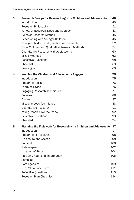| 3 | <b>Research Design for Researching with Children and Adolescents</b> | 40  |
|---|----------------------------------------------------------------------|-----|
|   | Introduction                                                         | 40  |
|   | Research Philosophy                                                  | 41  |
|   | Variety of Research Types and Approach                               | 43  |
|   | Types of Research Method                                             | 45  |
|   | Researching with Younger Children                                    | 45  |
|   | Younger Children and Quantitative Research                           | 52  |
|   | Older Children and Qualitative Research Methods                      | 54  |
|   | Quantitative Research with Adolescents                               | 60  |
|   | <b>Mixed Methods</b>                                                 | 63  |
|   | <b>Reflective Questions</b>                                          | 68  |
|   | Checklist                                                            | 69  |
|   | Reading list                                                         | 69  |
| 4 | <b>Keeping the Children and Adolescents Engaged</b>                  | 75  |
|   | Introduction                                                         | 75  |
|   | <b>Preparing Tasks</b>                                               | 76  |
|   | <b>Learning Styles</b>                                               | 76  |
|   | <b>Engaging Research Techniques</b>                                  | 77  |
|   | Collages                                                             | 86  |
|   | <b>Diaries</b>                                                       | 87  |
|   | Miscellaneous Techniques                                             | 88  |
|   | Quantitative Research                                                | 91  |
|   | Young People Give their View                                         | 92  |
|   | <b>Reflective Questions</b>                                          | 93  |
|   | Checklist                                                            | 94  |
| 5 | Planning the Fieldwork for Research with Children and Adolescents 97 |     |
|   | Introduction                                                         | 97  |
|   | Preparing to Research                                                | 98  |
|   | Disclosure and Access                                                | 98  |
|   | Consent                                                              | 100 |
|   | Gatekeepers                                                          | 102 |
|   | Location of Study                                                    | 104 |
|   | Providing Additional Information                                     | 105 |
|   | Sampling                                                             | 107 |
|   | Contingencies                                                        | 109 |
|   | The Role of Incentives                                               | 111 |
|   | <b>Reflective Questions</b>                                          | 113 |
|   | <b>Research Plan Checklist</b>                                       | 114 |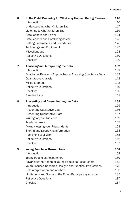| 6 | In the Field: Preparing for What may Happen During Research   | 116 |
|---|---------------------------------------------------------------|-----|
|   | Introduction                                                  | 116 |
|   | Understanding what Children Say                               | 117 |
|   | Listening to what Children Say                                | 119 |
|   | Gatekeepers and Power                                         | 124 |
|   | Gatekeepers and Conflicting Advice                            | 125 |
|   | Setting Parameters and Boundaries                             | 126 |
|   | Technology and Equipment                                      | 127 |
|   | Miscellaneous                                                 | 128 |
|   | <b>Reflective Questions</b>                                   | 130 |
|   | Checklist                                                     | 130 |
| 7 | Analysing and Interpreting the Data                           | 132 |
|   | Introduction                                                  | 132 |
|   | Qualitative Research Approaches to Analysing Qualitative Data | 133 |
|   | Quantitative Analysis                                         | 142 |
|   | <b>Mixed Methods</b>                                          | 148 |
|   | <b>Reflective Questions</b>                                   | 149 |
|   | Checklist                                                     | 150 |
|   | <b>Reading Lists</b>                                          | 151 |
| 8 | <b>Presenting and Disseminating the Data</b>                  | 155 |
|   | Introduction                                                  | 155 |
|   | <b>Presenting Qualitative Data</b>                            | 156 |
|   | Presenting Quantitative Data                                  | 157 |
|   | Writing for your Audience                                     | 159 |
|   | Academic Work                                                 | 159 |
|   | Acknowledging your Respondents                                | 163 |
|   | Storing and Destroying Information                            | 164 |
|   | Publishing your Work                                          | 165 |
|   | <b>Reflective Questions</b>                                   | 166 |
|   | Checklist                                                     | 167 |
| 9 | <b>Young People as Researchers</b>                            | 168 |
|   | Introduction                                                  | 168 |
|   | Young People as Researchers                                   | 169 |
|   | Advancing the Notion of Young People as Researchers           | 172 |
|   | Youth-Focused Research Designs and Practical Implications     | 176 |
|   | Self-Interpretation and Analysis                              | 183 |
|   | Limitations and Scope of the Ethno-Participatory Approach     | 185 |
|   | <b>Reflective Questions</b>                                   | 187 |
|   | Checklist                                                     | 187 |
|   |                                                               |     |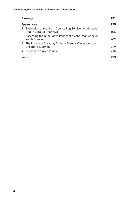|                   | Glossary                                                                                        | 191 |
|-------------------|-------------------------------------------------------------------------------------------------|-----|
| <b>Appendices</b> |                                                                                                 | 195 |
|                   | 1 Evaluation of the Youth Counselling Service, Airdrie Local<br><b>Health Care Co-Operative</b> | 195 |
|                   | 2 Assessing the Cumulative Impact of Alcohol Marketing on<br>Youth Drinking                     | 202 |
|                   | 3 The Impact of Creating Dyslexia Friendly Classrooms on<br>Children's Learning                 | 209 |
|                   | 4 Structured diary example                                                                      | 216 |
| Index             |                                                                                                 | 219 |